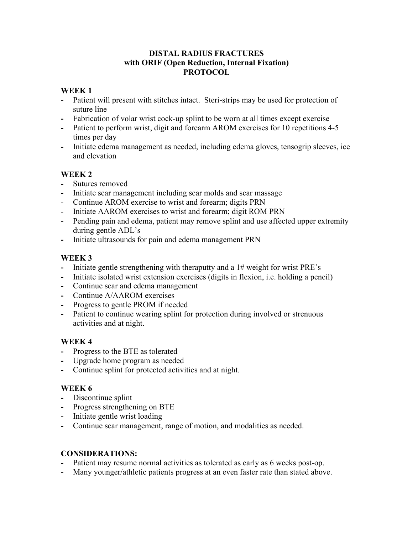#### **DISTAL RADIUS FRACTURES with ORIF (Open Reduction, Internal Fixation) PROTOCOL**

#### **WEEK 1**

- **-** Patient will present with stitches intact. Steri-strips may be used for protection of suture line
- **-** Fabrication of volar wrist cock-up splint to be worn at all times except exercise
- **-** Patient to perform wrist, digit and forearm AROM exercises for 10 repetitions 4-5 times per day
- **-** Initiate edema management as needed, including edema gloves, tensogrip sleeves, ice and elevation

# **WEEK 2**

- **-** Sutures removed
- **-** Initiate scar management including scar molds and scar massage
- Continue AROM exercise to wrist and forearm; digits PRN
- Initiate AAROM exercises to wrist and forearm; digit ROM PRN
- **-** Pending pain and edema, patient may remove splint and use affected upper extremity during gentle ADL's
- **-** Initiate ultrasounds for pain and edema management PRN

## **WEEK 3**

- **-** Initiate gentle strengthening with theraputty and a 1# weight for wrist PRE's
- **-** Initiate isolated wrist extension exercises (digits in flexion, i.e. holding a pencil)
- **-** Continue scar and edema management
- **-** Continue A/AAROM exercises
- **-** Progress to gentle PROM if needed
- **-** Patient to continue wearing splint for protection during involved or strenuous activities and at night.

## **WEEK 4**

- **-** Progress to the BTE as tolerated
- **-** Upgrade home program as needed
- **-** Continue splint for protected activities and at night.

## **WEEK 6**

- **-** Discontinue splint
- **-** Progress strengthening on BTE
- **-** Initiate gentle wrist loading
- **-** Continue scar management, range of motion, and modalities as needed.

## **CONSIDERATIONS:**

- Patient may resume normal activities as tolerated as early as 6 weeks post-op.
- **-** Many younger/athletic patients progress at an even faster rate than stated above.